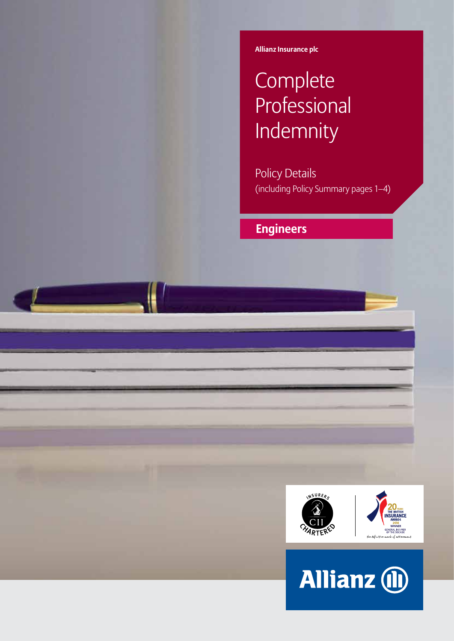**Allianz Insurance plc**

# **Complete Professional** Indemnity

Policy Details (including Policy Summary pages 1–4)

## **Engineers**



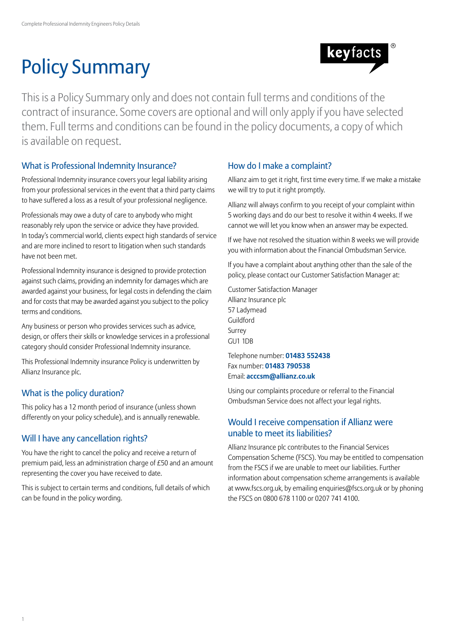# Policy Summary



This is a Policy Summary only and does not contain full terms and conditions of the contract of insurance. Some covers are optional and will only apply if you have selected them. Full terms and conditions can be found in the policy documents, a copy of which is available on request.

## What is Professional Indemnity Insurance?

Professional Indemnity insurance covers your legal liability arising from your professional services in the event that a third party claims to have suffered a loss as a result of your professional negligence.

Professionals may owe a duty of care to anybody who might reasonably rely upon the service or advice they have provided. In today's commercial world, clients expect high standards of service and are more inclined to resort to litigation when such standards have not been met.

Professional Indemnity insurance is designed to provide protection against such claims, providing an indemnity for damages which are awarded against your business, for legal costs in defending the claim and for costs that may be awarded against you subject to the policy terms and conditions.

Any business or person who provides services such as advice, design, or offers their skills or knowledge services in a professional category should consider Professional Indemnity insurance.

This Professional Indemnity insurance Policy is underwritten by Allianz Insurance plc.

## What is the policy duration?

This policy has a 12 month period of insurance (unless shown differently on your policy schedule), and is annually renewable.

## Will I have any cancellation rights?

You have the right to cancel the policy and receive a return of premium paid, less an administration charge of £50 and an amount representing the cover you have received to date.

This is subject to certain terms and conditions, full details of which can be found in the policy wording.

## How do I make a complaint?

Allianz aim to get it right, first time every time. If we make a mistake we will try to put it right promptly.

Allianz will always confirm to you receipt of your complaint within 5 working days and do our best to resolve it within 4 weeks. If we cannot we will let you know when an answer may be expected.

If we have not resolved the situation within 8 weeks we will provide you with information about the Financial Ombudsman Service.

If you have a complaint about anything other than the sale of the policy, please contact our Customer Satisfaction Manager at:

Customer Satisfaction Manager Allianz Insurance plc 57 Ladymead Guildford Surrey GU1 1DB

Telephone number: **01483 552438** Fax number: **01483 790538** Email: **acccsm@allianz.co.uk**

Using our complaints procedure or referral to the Financial Ombudsman Service does not affect your legal rights.

## Would I receive compensation if Allianz were unable to meet its liabilities?

Allianz Insurance plc contributes to the Financial Services Compensation Scheme (FSCS). You may be entitled to compensation from the FSCS if we are unable to meet our liabilities. Further information about compensation scheme arrangements is available at www.fscs.org.uk, by emailing enquiries@fscs.org.uk or by phoning the FSCS on 0800 678 1100 or 0207 741 4100.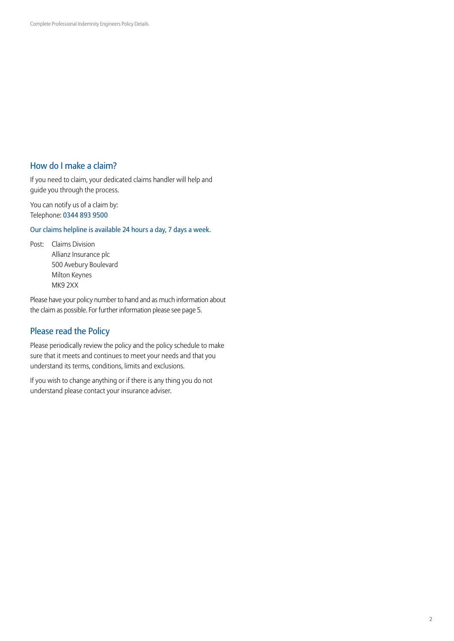## How do I make a claim?

If you need to claim, your dedicated claims handler will help and guide you through the process.

You can notify us of a claim by: Telephone: 0344 893 9500

Our claims helpline is available 24 hours a day, 7 days a week.

Post: Claims Division Allianz Insurance plc 500 Avebury Boulevard Milton Keynes MK9 2XX

Please have your policy number to hand and as much information about the claim as possible. For further information please see page 5.

## Please read the Policy

Please periodically review the policy and the policy schedule to make sure that it meets and continues to meet your needs and that you understand its terms, conditions, limits and exclusions.

If you wish to change anything or if there is any thing you do not understand please contact your insurance adviser.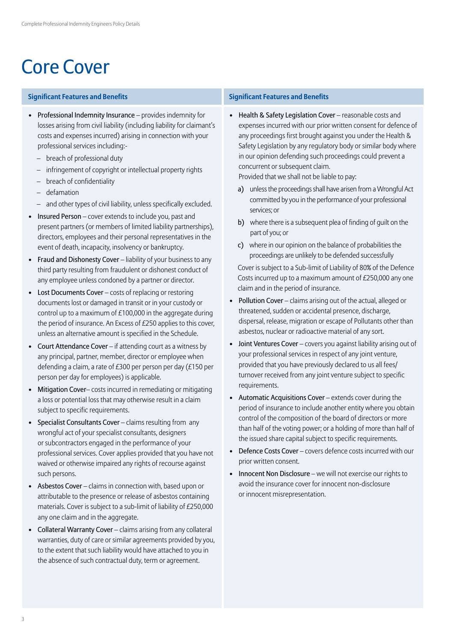# Core Cover

### **Significant Features and Benefits Significant Features and Benefits**

- Professional Indemnity Insurance provides indemnity for losses arising from civil liability (including liability for claimant's costs and expenses incurred) arising in connection with your professional services including:-
	- breach of professional duty
	- infringement of copyright or intellectual property rights
	- breach of confidentiality
	- defamation
	- and other types of civil liability, unless specifically excluded.
- Insured Person cover extends to include you, past and present partners (or members of limited liability partnerships), directors, employees and their personal representatives in the event of death, incapacity, insolvency or bankruptcy.
- Fraud and Dishonesty Cover liability of your business to any third party resulting from fraudulent or dishonest conduct of any employee unless condoned by a partner or director.
- Lost Documents Cover costs of replacing or restoring documents lost or damaged in transit or in your custody or control up to a maximum of £100,000 in the aggregate during the period of insurance. An Excess of £250 applies to this cover, unless an alternative amount is specified in the Schedule.
- Court Attendance Cover if attending court as a witness by any principal, partner, member, director or employee when defending a claim, a rate of £300 per person per day (£150 per person per day for employees) is applicable.
- Mitigation Cover– costs incurred in remediating or mitigating a loss or potential loss that may otherwise result in a claim subject to specific requirements.
- Specialist Consultants Cover claims resulting from any wrongful act of your specialist consultants, designers or subcontractors engaged in the performance of your professional services. Cover applies provided that you have not waived or otherwise impaired any rights of recourse against such persons.
- Asbestos Cover claims in connection with, based upon or attributable to the presence or release of asbestos containing materials. Cover is subject to a sub-limit of liability of £250,000 any one claim and in the aggregate.
- Collateral Warranty Cover claims arising from any collateral warranties, duty of care or similar agreements provided by you, to the extent that such liability would have attached to you in the absence of such contractual duty, term or agreement.

• Health & Safety Legislation Cover – reasonable costs and expenses incurred with our prior written consent for defence of any proceedings first brought against you under the Health & Safety Legislation by any regulatory body or similar body where in our opinion defending such proceedings could prevent a concurrent or subsequent claim.

Provided that we shall not be liable to pay:

- a) unless the proceedings shall have arisen from a Wrongful Act committed by you in the performance of your professional services; or
- b) where there is a subsequent plea of finding of quilt on the part of you; or
- c) where in our opinion on the balance of probabilities the proceedings are unlikely to be defended successfully

Cover is subject to a Sub-limit of Liability of 80% of the Defence Costs incurred up to a maximum amount of £250,000 any one claim and in the period of insurance.

- Pollution Cover claims arising out of the actual, alleged or threatened, sudden or accidental presence, discharge, dispersal, release, migration or escape of Pollutants other than asbestos, nuclear or radioactive material of any sort.
- Joint Ventures Cover covers you against liability arising out of your professional services in respect of any joint venture, provided that you have previously declared to us all fees/ turnover received from any joint venture subject to specific requirements.
- Automatic Acquisitions Cover extends cover during the period of insurance to include another entity where you obtain control of the composition of the board of directors or more than half of the voting power; or a holding of more than half of the issued share capital subject to specific requirements.
- Defence Costs Cover covers defence costs incurred with our prior written consent.
- Innocent Non Disclosure we will not exercise our rights to avoid the insurance cover for innocent non-disclosure or innocent misrepresentation.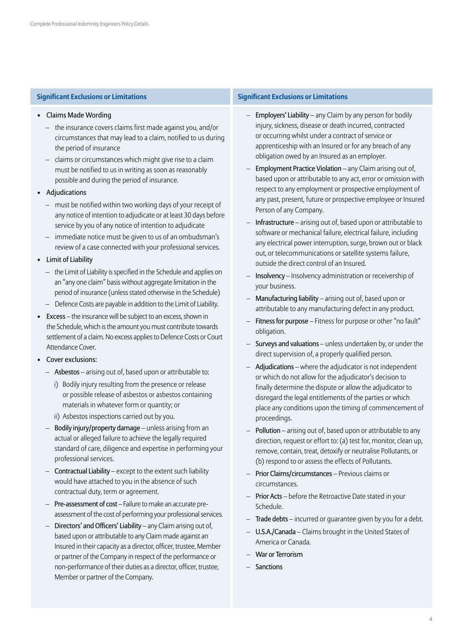- Claims Made Wording
	- the insurance covers claims first made against you, and/or circumstances that may lead to a claim, notified to us during the period of insurance
	- claims or circumstances which might give rise to a claim must be notified to us in writing as soon as reasonably possible and during the period of insurance.
- Adjudications
	- must be notified within two working days of your receipt of any notice of intention to adjudicate or at least 30 days before service by you of any notice of intention to adjudicate
	- immediate notice must be given to us of an ombudsman's review of a case connected with your professional services.
- Limit of Liability
	- the Limit of Liability is specified in the Schedule and applies on an "any one claim" basis without aggregate limitation in the period of insurance (unless stated otherwise in the Schedule)
	- Defence Costs are payable in addition to the Limit of Liability.
- Excess the insurance will be subject to an excess, shown in the Schedule, which is the amount you must contribute towards settlement of a claim. No excess applies to Defence Costs or Court Attendance Cover.
- Cover exclusions:
	- Asbestos arising out of, based upon or attributable to:
		- i) Bodily injury resulting from the presence or release or possible release of asbestos or asbestos containing materials in whatever form or quantity; or
		- ii) Asbestos inspections carried out by you.
	- Bodily injury/property damage unless arising from an actual or alleged failure to achieve the legally required standard of care, diligence and expertise in performing your professional services.
	- Contractual Liability except to the extent such liability would have attached to you in the absence of such contractual duty, term or agreement.
	- Pre-assessment of cost Failure to make an accurate preassessment of the cost of performing your professional services.
	- Directors' and Officers' Liability any Claim arising out of, based upon or attributable to any Claim made against an Insured in their capacity as a director, officer, trustee, Member or partner of the Company in respect of the performance or non-performance of their duties as a director, officer, trustee, Member or partner of the Company.

### **Significant Exclusions or Limitations Significant Exclusions or Limitations**

- Employers' Liability any Claim by any person for bodily injury, sickness, disease or death incurred, contracted or occurring whilst under a contract of service or apprenticeship with an Insured or for any breach of any obligation owed by an Insured as an employer.
- Employment Practice Violation any Claim arising out of, based upon or attributable to any act, error or omission with respect to any employment or prospective employment of any past, present, future or prospective employee or Insured Person of any Company.
- Infrastructure arising out of, based upon or attributable to software or mechanical failure, electrical failure, including any electrical power interruption, surge, brown out or black out, or telecommunications or satellite systems failure, outside the direct control of an Insured.
- Insolvency Insolvency administration or receivership of your business.
- Manufacturing liability arising out of, based upon or attributable to any manufacturing defect in any product.
- Fitness for purpose Fitness for purpose or other "no fault" obligation.
- Surveys and valuations unless undertaken by, or under the direct supervision of, a properly qualified person.
- Adjudications where the adjudicator is not independent or which do not allow for the adjudicator's decision to finally determine the dispute or allow the adjudicator to disregard the legal entitlements of the parties or which place any conditions upon the timing of commencement of proceedings.
- Pollution arising out of, based upon or attributable to any direction, request or effort to: (a) test for, monitor, clean up, remove, contain, treat, detoxify or neutralise Pollutants, or (b) respond to or assess the effects of Pollutants.
- Prior Claims/circumstances Previous claims or circumstances.
- Prior Acts before the Retroactive Date stated in your Schedule.
- Trade debts incurred or quarantee given by you for a debt.
- U.S.A./Canada Claims brought in the United States of America or Canada.
- War or Terrorism
- Sanctions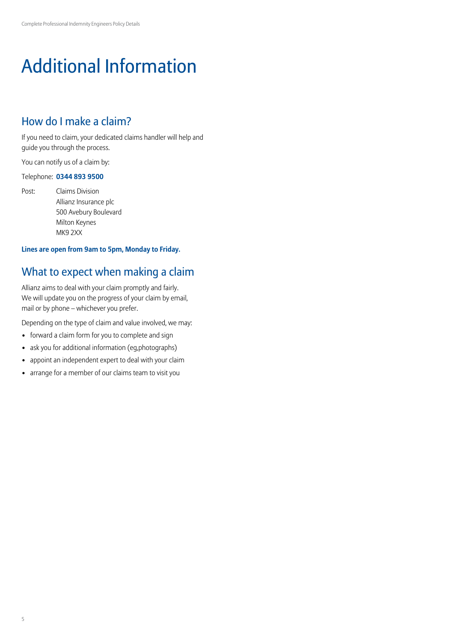# Additional Information

## How do I make a claim?

If you need to claim, your dedicated claims handler will help and guide you through the process.

You can notify us of a claim by:

### Telephone: **0344 893 9500**

Post: Claims Division Allianz Insurance plc 500 Avebury Boulevard Milton Keynes MK9 2XX

### **Lines are open from 9am to 5pm, Monday to Friday.**

## What to expect when making a claim

Allianz aims to deal with your claim promptly and fairly. We will update you on the progress of your claim by email, mail or by phone – whichever you prefer.

Depending on the type of claim and value involved, we may:

- forward a claim form for you to complete and sign
- ask you for additional information (eg,photographs)
- appoint an independent expert to deal with your claim
- arrange for a member of our claims team to visit you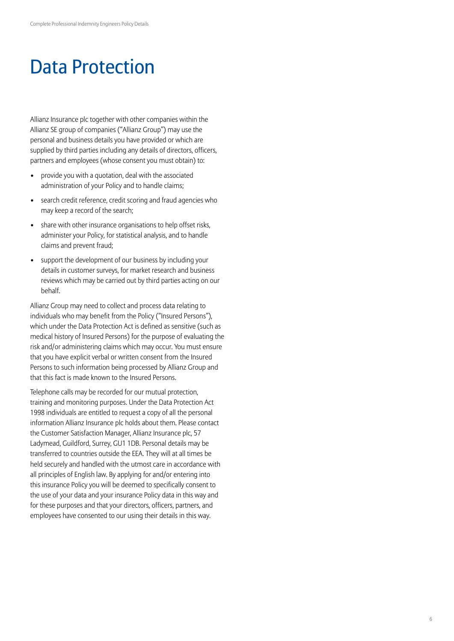## Data Protection

Allianz Insurance plc together with other companies within the Allianz SE group of companies ("Allianz Group") may use the personal and business details you have provided or which are supplied by third parties including any details of directors, officers, partners and employees (whose consent you must obtain) to:

- provide you with a quotation, deal with the associated administration of your Policy and to handle claims;
- search credit reference, credit scoring and fraud agencies who may keep a record of the search;
- share with other insurance organisations to help offset risks, administer your Policy, for statistical analysis, and to handle claims and prevent fraud;
- support the development of our business by including your details in customer surveys, for market research and business reviews which may be carried out by third parties acting on our behalf.

Allianz Group may need to collect and process data relating to individuals who may benefit from the Policy ("Insured Persons"), which under the Data Protection Act is defined as sensitive (such as medical history of Insured Persons) for the purpose of evaluating the risk and/or administering claims which may occur. You must ensure that you have explicit verbal or written consent from the Insured Persons to such information being processed by Allianz Group and that this fact is made known to the Insured Persons.

Telephone calls may be recorded for our mutual protection, training and monitoring purposes. Under the Data Protection Act 1998 individuals are entitled to request a copy of all the personal information Allianz Insurance plc holds about them. Please contact the Customer Satisfaction Manager, Allianz Insurance plc, 57 Ladymead, Guildford, Surrey, GU1 1DB. Personal details may be transferred to countries outside the EEA. They will at all times be held securely and handled with the utmost care in accordance with all principles of English law. By applying for and/or entering into this insurance Policy you will be deemed to specifically consent to the use of your data and your insurance Policy data in this way and for these purposes and that your directors, officers, partners, and employees have consented to our using their details in this way.